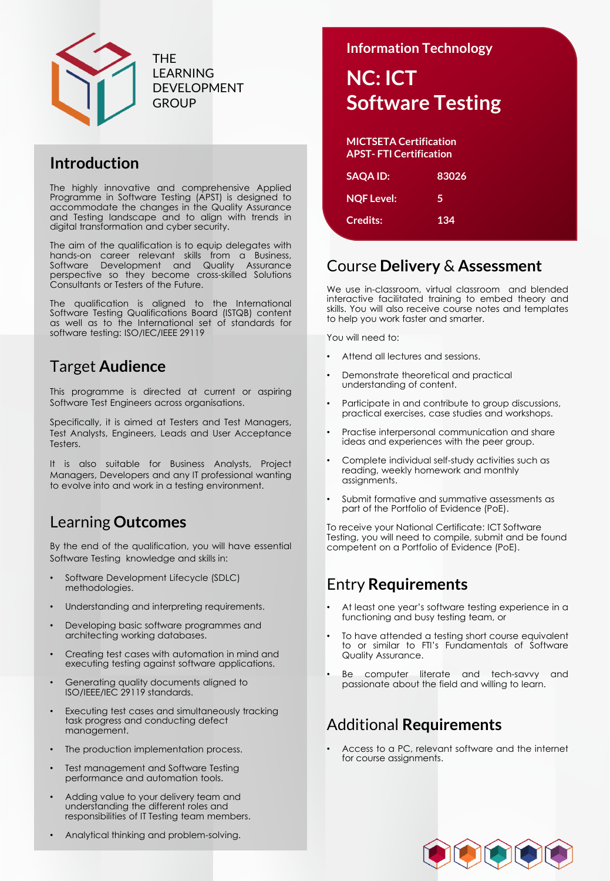

THE LEARNING DEVELOPMENT **GROUP** 

## **Introduction**

The highly innovative and comprehensive Applied Programme in Software Testing (APST) is designed to accommodate the changes in the Quality Assurance and Testing landscape and to align with trends in digital transformation and cyber security.

The aim of the qualification is to equip delegates with hands-on career relevant skills from a Business,<br>Software Development and Quality Assurance Development and Quality perspective so they become cross-skilled Solutions Consultants or Testers of the Future.

The qualification is aligned to the International Software Testing Qualifications Board (ISTQB) content as well as to the International set of standards for software testing: ISO/IEC/IEEE 29119

## Target **Audience**

This programme is directed at current or aspiring Software Test Engineers across organisations.

Specifically, it is aimed at Testers and Test Managers, Test Analysts, Engineers, Leads and User Acceptance Testers.

It is also suitable for Business Analysts, Project Managers, Developers and any IT professional wanting to evolve into and work in a testing environment.

## Learning **Outcomes**

By the end of the qualification, you will have essential Software Testing knowledge and skills in:

- Software Development Lifecycle (SDLC) methodologies.
- Understanding and interpreting requirements.
- Developing basic software programmes and architecting working databases.
- Creating test cases with automation in mind and executing testing against software applications.
- Generating quality documents aligned to ISO/IEEE/IEC 29119 standards.
- Executing test cases and simultaneously tracking task progress and conducting defect management.
- The production implementation process.
- Test management and Software Testing performance and automation tools.
- Adding value to your delivery team and understanding the different roles and responsibilities of IT Testing team members.
- Analytical thinking and problem-solving.

**Information Technology**

# **NC: ICT Software Testing**

| <b>MICTSETA Certification</b><br><b>APST-FTI Certification</b> |       |
|----------------------------------------------------------------|-------|
| <b>SAQA ID:</b>                                                | 83026 |
| <b>NOF Level:</b>                                              | 5     |
| <b>Credits:</b>                                                | 134   |

### Course **Delivery** & **Assessment**

We use in-classroom, virtual classroom and blended interactive facilitated training to embed theory and skills. You will also receive course notes and templates to help you work faster and smarter.

You will need to:

- Attend all lectures and sessions.
- Demonstrate theoretical and practical understanding of content.
- Participate in and contribute to group discussions, practical exercises, case studies and workshops.
- Practise interpersonal communication and share ideas and experiences with the peer group.
- Complete individual self-study activities such as reading, weekly homework and monthly assignments.
- Submit formative and summative assessments as part of the Portfolio of Evidence (PoE).

To receive your National Certificate: ICT Software Testing, you will need to compile, submit and be found competent on a Portfolio of Evidence (PoE).

## Entry **Requirements**

- At least one year's software testing experience in a functioning and busy testing team, or
- To have attended a testing short course equivalent to or similar to FTI's Fundamentals of Software Quality Assurance.
- Be computer literate and tech-savvy and passionate about the field and willing to learn.

# Additional **Requirements**

• Access to a PC, relevant software and the internet for course assignments.